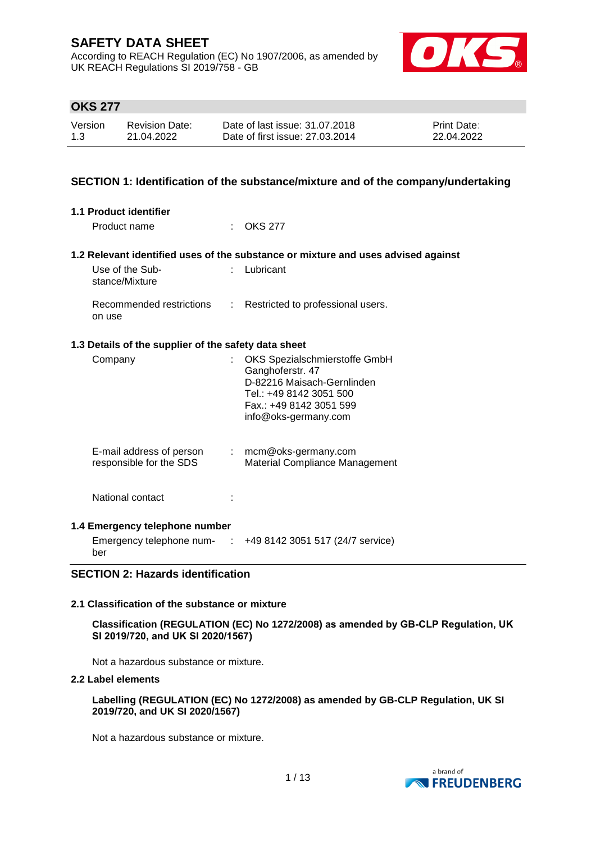According to REACH Regulation (EC) No 1907/2006, as amended by UK REACH Regulations SI 2019/758 - GB



# **OKS 277**

| Version | Revision Date: | Date of last issue: 31.07.2018  | <b>Print Date:</b> |
|---------|----------------|---------------------------------|--------------------|
| 1.3     | 21.04.2022     | Date of first issue: 27,03,2014 | 22.04.2022         |

## **SECTION 1: Identification of the substance/mixture and of the company/undertaking**

| <b>1.1 Product identifier</b>                        |                                                                                                                                                               |
|------------------------------------------------------|---------------------------------------------------------------------------------------------------------------------------------------------------------------|
| Product name                                         | OKS 277                                                                                                                                                       |
|                                                      | 1.2 Relevant identified uses of the substance or mixture and uses advised against                                                                             |
| Use of the Sub-<br>stance/Mixture                    | $:$ Lubricant                                                                                                                                                 |
| Recommended restrictions<br>on use                   | : Restricted to professional users.                                                                                                                           |
| 1.3 Details of the supplier of the safety data sheet |                                                                                                                                                               |
| Company                                              | OKS Spezialschmierstoffe GmbH<br>Ganghoferstr. 47<br>D-82216 Maisach-Gernlinden<br>Tel.: +49 8142 3051 500<br>Fax.: +49 8142 3051 599<br>info@oks-germany.com |
| E-mail address of person<br>responsible for the SDS  | $:$ mcm@oks-germany.com<br>Material Compliance Management                                                                                                     |
| National contact                                     |                                                                                                                                                               |
| 1.4 Emergency telephone number<br>ber                | Emergency telephone num- $\therefore$ +49 8142 3051 517 (24/7 service)                                                                                        |

## **SECTION 2: Hazards identification**

#### **2.1 Classification of the substance or mixture**

**Classification (REGULATION (EC) No 1272/2008) as amended by GB-CLP Regulation, UK SI 2019/720, and UK SI 2020/1567)**

Not a hazardous substance or mixture.

#### **2.2 Label elements**

**Labelling (REGULATION (EC) No 1272/2008) as amended by GB-CLP Regulation, UK SI 2019/720, and UK SI 2020/1567)**

Not a hazardous substance or mixture.

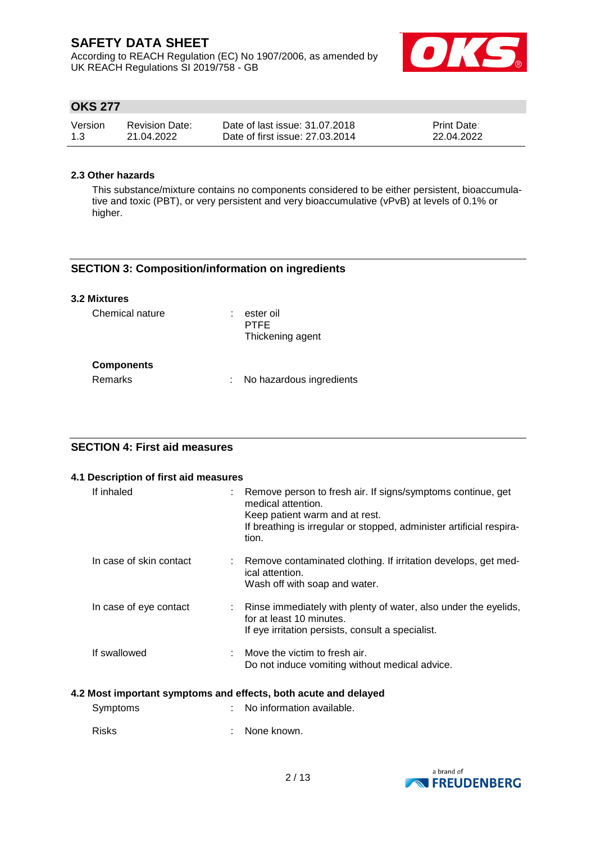According to REACH Regulation (EC) No 1907/2006, as amended by UK REACH Regulations SI 2019/758 - GB



# **OKS 277**

| Version | <b>Revision Date:</b> | Date of last issue: 31.07.2018  | <b>Print Date:</b> |
|---------|-----------------------|---------------------------------|--------------------|
| 1.3     | 21.04.2022            | Date of first issue: 27,03,2014 | 22.04.2022         |

## **2.3 Other hazards**

This substance/mixture contains no components considered to be either persistent, bioaccumulative and toxic (PBT), or very persistent and very bioaccumulative (vPvB) at levels of 0.1% or higher.

## **SECTION 3: Composition/information on ingredients**

| <b>3.2 Mixtures</b> |                                              |
|---------------------|----------------------------------------------|
| Chemical nature     | ester oil<br><b>PTFF</b><br>Thickening agent |
| <b>Components</b>   |                                              |
| Remarks             | No hazardous ingredients                     |

# **SECTION 4: First aid measures**

| 4.1 Description of first aid measures |                                                                                                                                                                                                      |
|---------------------------------------|------------------------------------------------------------------------------------------------------------------------------------------------------------------------------------------------------|
| If inhaled                            | Remove person to fresh air. If signs/symptoms continue, get<br>medical attention.<br>Keep patient warm and at rest.<br>If breathing is irregular or stopped, administer artificial respira-<br>tion. |
| In case of skin contact               | Remove contaminated clothing. If irritation develops, get med-<br>ical attention.<br>Wash off with soap and water.                                                                                   |
| In case of eye contact                | Rinse immediately with plenty of water, also under the eyelids,<br>for at least 10 minutes.<br>If eye irritation persists, consult a specialist.                                                     |
| If swallowed                          | Move the victim to fresh air.<br>Do not induce vomiting without medical advice.                                                                                                                      |

#### **4.2 Most important symptoms and effects, both acute and delayed**

| Symptoms     | : No information available. |
|--------------|-----------------------------|
| <b>Risks</b> | : None known.               |

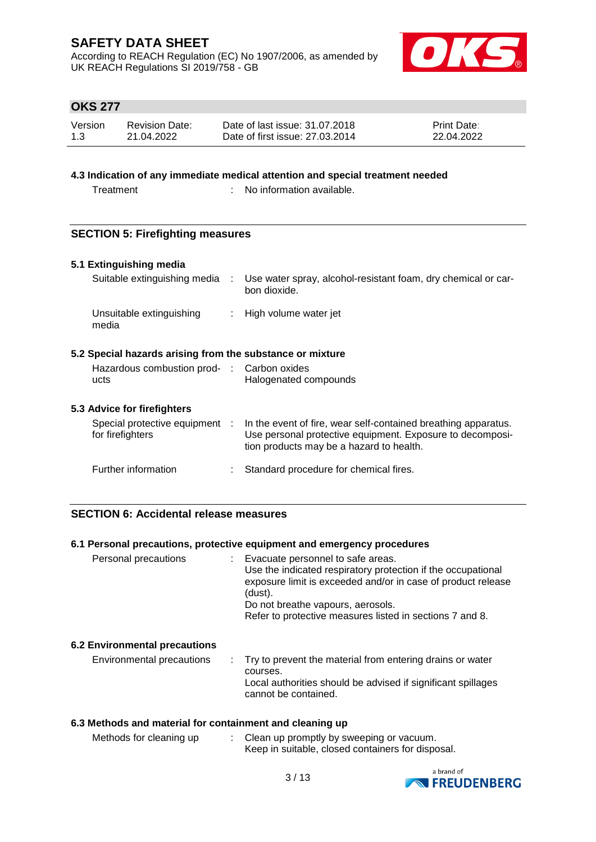According to REACH Regulation (EC) No 1907/2006, as amended by UK REACH Regulations SI 2019/758 - GB



# **OKS 277**

| Version | <b>Revision Date:</b> | Date of last issue: 31.07.2018  | <b>Print Date:</b> |
|---------|-----------------------|---------------------------------|--------------------|
| 1.3     | 21.04.2022            | Date of first issue: 27,03,2014 | 22.04.2022         |

## **4.3 Indication of any immediate medical attention and special treatment needed**

Treatment : No information available.

## **SECTION 5: Firefighting measures**

#### **5.1 Extinguishing media**

| Suitable extinguishing media      | Use water spray, alcohol-resistant foam, dry chemical or car-<br>bon dioxide. |
|-----------------------------------|-------------------------------------------------------------------------------|
| Unsuitable extinguishing<br>media | : High volume water jet                                                       |

## **5.2 Special hazards arising from the substance or mixture**

| Hazardous combustion prod- : Carbon oxides |                       |
|--------------------------------------------|-----------------------|
| ucts                                       | Halogenated compounds |

#### **5.3 Advice for firefighters**

| Special protective equipment :<br>for firefighters | In the event of fire, wear self-contained breathing apparatus.<br>Use personal protective equipment. Exposure to decomposi-<br>tion products may be a hazard to health. |
|----------------------------------------------------|-------------------------------------------------------------------------------------------------------------------------------------------------------------------------|
| Further information                                | Standard procedure for chemical fires.                                                                                                                                  |

#### **SECTION 6: Accidental release measures**

#### **6.1 Personal precautions, protective equipment and emergency procedures**

| Personal precautions |  | : Evacuate personnel to safe areas.<br>Use the indicated respiratory protection if the occupational<br>exposure limit is exceeded and/or in case of product release<br>(dust).<br>Do not breathe vapours, aerosols.<br>Refer to protective measures listed in sections 7 and 8. |
|----------------------|--|---------------------------------------------------------------------------------------------------------------------------------------------------------------------------------------------------------------------------------------------------------------------------------|
|                      |  |                                                                                                                                                                                                                                                                                 |

#### **6.2 Environmental precautions**

| Environmental precautions | . Try to prevent the material from entering drains or water<br>courses.              |
|---------------------------|--------------------------------------------------------------------------------------|
|                           | Local authorities should be advised if significant spillages<br>cannot be contained. |

#### **6.3 Methods and material for containment and cleaning up**

| Methods for cleaning up | Clean up promptly by sweeping or vacuum.          |
|-------------------------|---------------------------------------------------|
|                         | Keep in suitable, closed containers for disposal. |

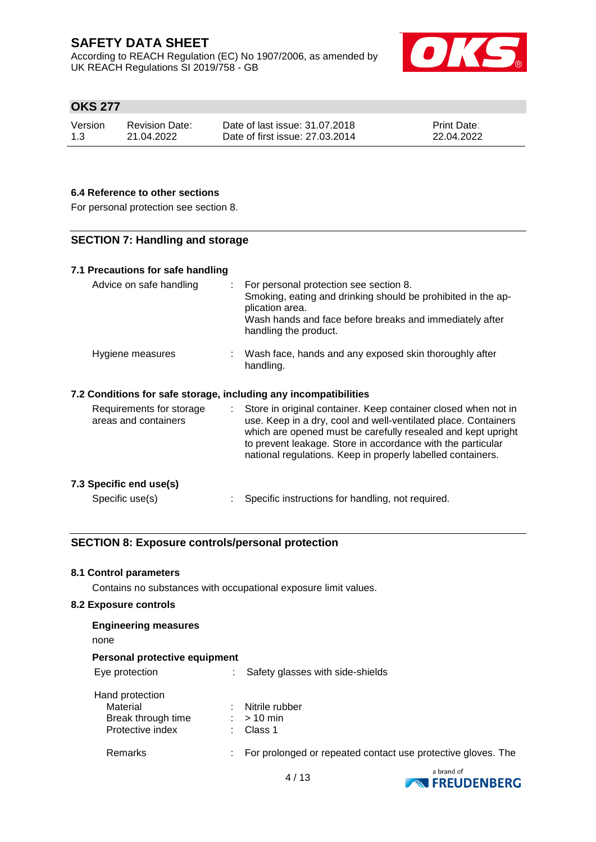According to REACH Regulation (EC) No 1907/2006, as amended by UK REACH Regulations SI 2019/758 - GB



# **OKS 277**

| Version | <b>Revision Date:</b> | Date of last issue: 31.07.2018  | <b>Print Date:</b> |
|---------|-----------------------|---------------------------------|--------------------|
| 1.3     | 21.04.2022            | Date of first issue: 27,03,2014 | 22.04.2022         |

#### **6.4 Reference to other sections**

For personal protection see section 8.

## **SECTION 7: Handling and storage**

| 7.1 Precautions for safe handling                                |                                                                                                                                                                                                                                                                                                                                      |
|------------------------------------------------------------------|--------------------------------------------------------------------------------------------------------------------------------------------------------------------------------------------------------------------------------------------------------------------------------------------------------------------------------------|
| Advice on safe handling                                          | For personal protection see section 8.<br>Smoking, eating and drinking should be prohibited in the ap-<br>plication area.<br>Wash hands and face before breaks and immediately after<br>handling the product.                                                                                                                        |
| Hygiene measures                                                 | : Wash face, hands and any exposed skin thoroughly after<br>handling.                                                                                                                                                                                                                                                                |
| 7.2 Conditions for safe storage, including any incompatibilities |                                                                                                                                                                                                                                                                                                                                      |
| Requirements for storage<br>areas and containers                 | Store in original container. Keep container closed when not in<br>÷.<br>use. Keep in a dry, cool and well-ventilated place. Containers<br>which are opened must be carefully resealed and kept upright<br>to prevent leakage. Store in accordance with the particular<br>national regulations. Keep in properly labelled containers. |
| 7.3 Specific end use(s)                                          |                                                                                                                                                                                                                                                                                                                                      |
| Specific use(s)                                                  | Specific instructions for handling, not required.                                                                                                                                                                                                                                                                                    |

# **SECTION 8: Exposure controls/personal protection**

#### **8.1 Control parameters**

Contains no substances with occupational exposure limit values.

#### **8.2 Exposure controls**

| <b>Engineering measures</b><br>none                                   |    |                                           |                                                              |
|-----------------------------------------------------------------------|----|-------------------------------------------|--------------------------------------------------------------|
| Personal protective equipment                                         |    |                                           |                                                              |
| Eye protection                                                        |    | Safety glasses with side-shields          |                                                              |
| Hand protection<br>Material<br>Break through time<br>Protective index |    | Nitrile rubber<br>$:$ > 10 min<br>Class 1 |                                                              |
| Remarks                                                               | ÷. |                                           | For prolonged or repeated contact use protective gloves. The |
|                                                                       |    | .                                         | a brand of                                                   |

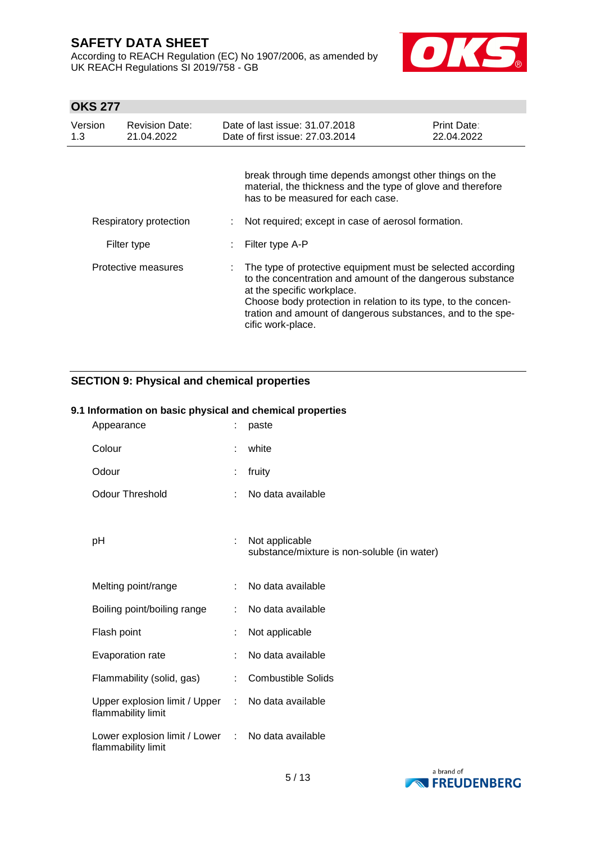According to REACH Regulation (EC) No 1907/2006, as amended by UK REACH Regulations SI 2019/758 - GB



# **OKS 277**

| Version<br>1.3      | <b>Revision Date:</b><br>21.04.2022 | Date of last issue: 31.07.2018<br>Date of first issue: 27,03,2014                                                                                                                                                                                                                                             | Print Date:<br>22.04.2022 |
|---------------------|-------------------------------------|---------------------------------------------------------------------------------------------------------------------------------------------------------------------------------------------------------------------------------------------------------------------------------------------------------------|---------------------------|
|                     |                                     | break through time depends amongst other things on the<br>material, the thickness and the type of glove and therefore<br>has to be measured for each case.                                                                                                                                                    |                           |
|                     | Respiratory protection              | Not required; except in case of aerosol formation.                                                                                                                                                                                                                                                            |                           |
|                     | Filter type                         | Filter type A-P                                                                                                                                                                                                                                                                                               |                           |
| Protective measures |                                     | The type of protective equipment must be selected according<br>to the concentration and amount of the dangerous substance<br>at the specific workplace.<br>Choose body protection in relation to its type, to the concen-<br>tration and amount of dangerous substances, and to the spe-<br>cific work-place. |                           |

# **SECTION 9: Physical and chemical properties**

## **9.1 Information on basic physical and chemical properties**

| Appearance                                                              |    | paste                                                         |
|-------------------------------------------------------------------------|----|---------------------------------------------------------------|
| Colour                                                                  | ÷  | white                                                         |
| Odour                                                                   | t  | fruity                                                        |
| <b>Odour Threshold</b>                                                  | ÷  | No data available                                             |
| рH                                                                      | ÷  | Not applicable<br>substance/mixture is non-soluble (in water) |
| Melting point/range                                                     | t. | No data available                                             |
| Boiling point/boiling range                                             | ÷. | No data available                                             |
| Flash point                                                             | ÷  | Not applicable                                                |
| Evaporation rate                                                        | ÷  | No data available                                             |
| Flammability (solid, gas)                                               | ÷  | <b>Combustible Solids</b>                                     |
| Upper explosion limit / Upper :<br>flammability limit                   |    | No data available                                             |
| Lower explosion limit / Lower : No data available<br>flammability limit |    |                                                               |

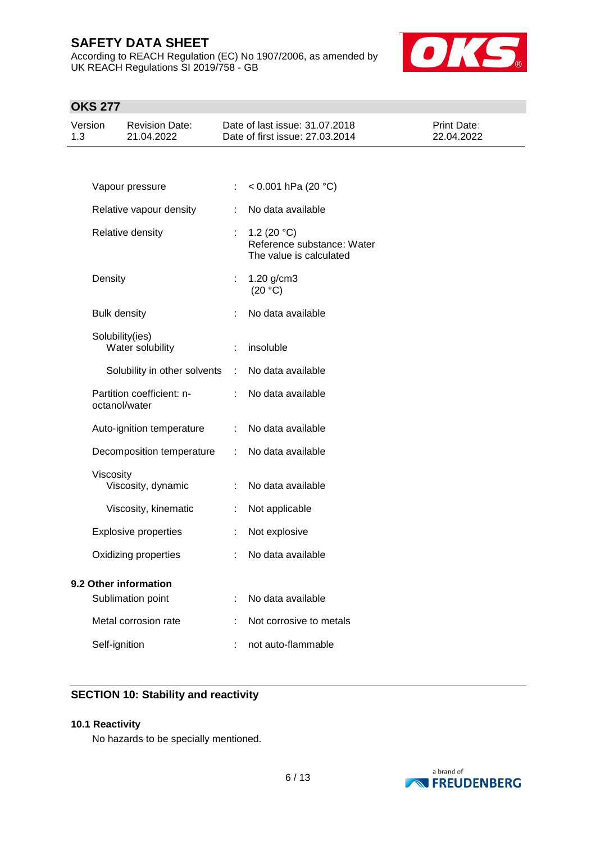According to REACH Regulation (EC) No 1907/2006, as amended by UK REACH Regulations SI 2019/758 - GB



# **OKS 277**

| Version<br>1.3 |                     | <b>Revision Date:</b><br>21.04.2022        |                | Date of last issue: 31.07.2018<br>Date of first issue: 27.03.2014              | Print Date:<br>22.04.2022 |
|----------------|---------------------|--------------------------------------------|----------------|--------------------------------------------------------------------------------|---------------------------|
|                |                     |                                            |                |                                                                                |                           |
|                |                     | Vapour pressure                            |                | $< 0.001$ hPa (20 °C)                                                          |                           |
|                |                     | Relative vapour density                    |                | No data available                                                              |                           |
|                |                     | Relative density                           | ÷              | 1.2 (20 $^{\circ}$ C)<br>Reference substance: Water<br>The value is calculated |                           |
|                | Density             |                                            |                | 1.20 g/cm3<br>(20 °C)                                                          |                           |
|                | <b>Bulk density</b> |                                            |                | No data available                                                              |                           |
|                |                     | Solubility(ies)<br>Water solubility        | ÷.             | insoluble                                                                      |                           |
|                |                     | Solubility in other solvents               | $\mathbb{R}^2$ | No data available                                                              |                           |
|                |                     | Partition coefficient: n-<br>octanol/water |                | No data available                                                              |                           |
|                |                     | Auto-ignition temperature                  |                | No data available                                                              |                           |
|                |                     | Decomposition temperature                  | ÷              | No data available                                                              |                           |
|                | Viscosity           | Viscosity, dynamic                         | ÷.             | No data available                                                              |                           |
|                |                     | Viscosity, kinematic                       | t.             | Not applicable                                                                 |                           |
|                |                     | <b>Explosive properties</b>                |                | Not explosive                                                                  |                           |
|                |                     | Oxidizing properties                       |                | No data available                                                              |                           |
|                |                     | 9.2 Other information<br>Sublimation point |                | No data available                                                              |                           |
|                |                     | Metal corrosion rate                       |                | Not corrosive to metals                                                        |                           |
|                | Self-ignition       |                                            |                | not auto-flammable                                                             |                           |
|                |                     |                                            |                |                                                                                |                           |

# **SECTION 10: Stability and reactivity**

#### **10.1 Reactivity**

No hazards to be specially mentioned.

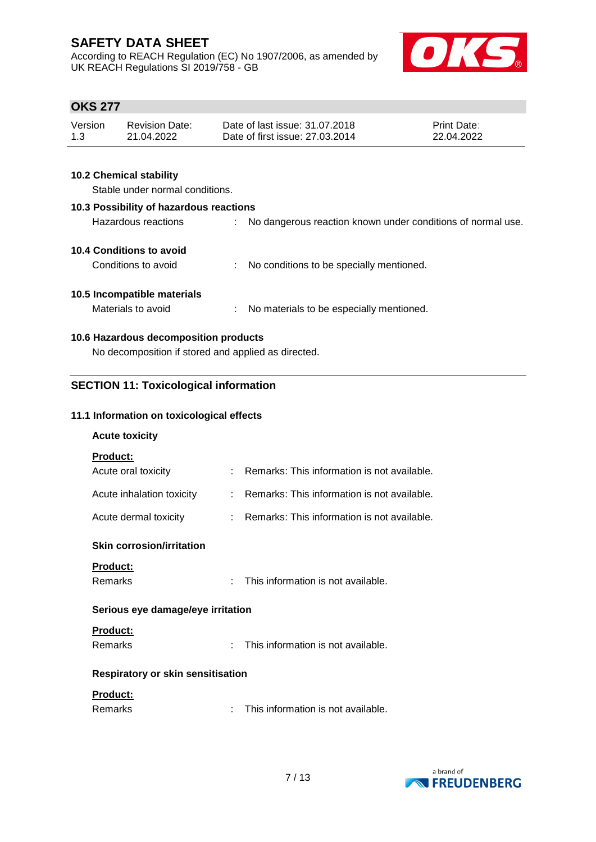According to REACH Regulation (EC) No 1907/2006, as amended by UK REACH Regulations SI 2019/758 - GB



# **OKS 277**

| Version | <b>Revision Date:</b> | Date of last issue: 31,07,2018  | <b>Print Date:</b> |
|---------|-----------------------|---------------------------------|--------------------|
| 1.3     | 21.04.2022            | Date of first issue: 27,03,2014 | 22.04.2022         |

# **10.2 Chemical stability**

Stable under normal conditions.

| 10.3 Possibility of hazardous reactions |    |                                                             |  |
|-----------------------------------------|----|-------------------------------------------------------------|--|
| Hazardous reactions                     |    | No dangerous reaction known under conditions of normal use. |  |
| 10.4 Conditions to avoid                |    |                                                             |  |
| Conditions to avoid                     |    | No conditions to be specially mentioned.                    |  |
| 10.5 Incompatible materials             |    |                                                             |  |
| Materials to avoid                      | ÷. | No materials to be especially mentioned.                    |  |
| 10.6 Hazardous decomposition products   |    |                                                             |  |

No decomposition if stored and applied as directed.

# **SECTION 11: Toxicological information**

#### **11.1 Information on toxicological effects**

#### **Acute toxicity**

#### **Product:**

| Acute oral toxicity       | Remarks: This information is not available.   |
|---------------------------|-----------------------------------------------|
| Acute inhalation toxicity | : Remarks: This information is not available. |
| Acute dermal toxicity     | Remarks: This information is not available.   |

#### **Skin corrosion/irritation**

#### **Product:**

: This information is not available.

#### **Serious eye damage/eye irritation**

# **Product:**

Remarks : This information is not available.

## **Respiratory or skin sensitisation**

# **Product:**

| <b>Remarks</b> |  | This information is not available. |
|----------------|--|------------------------------------|
|----------------|--|------------------------------------|

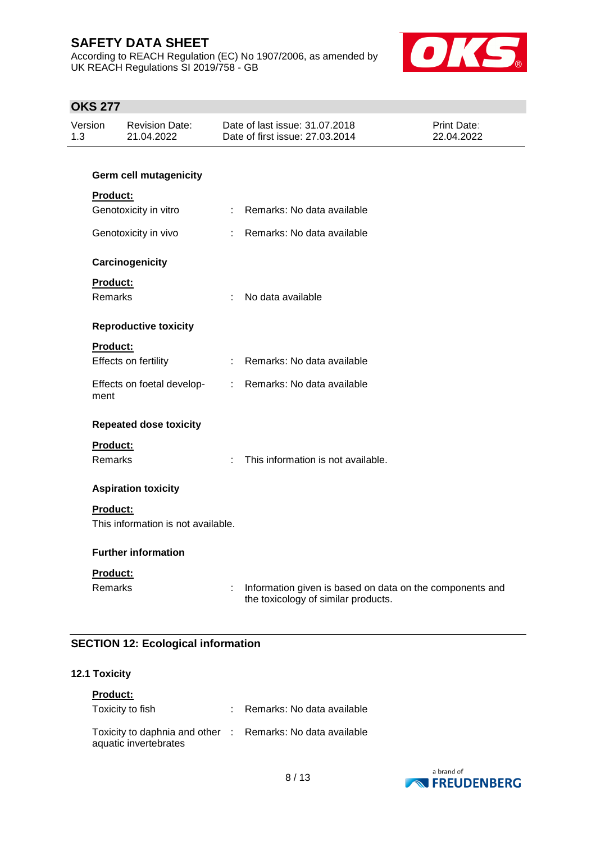According to REACH Regulation (EC) No 1907/2006, as amended by UK REACH Regulations SI 2019/758 - GB



# **OKS 277**

| Version<br>1.3 |                 | <b>Revision Date:</b><br>21.04.2022 |                | Date of last issue: 31.07.2018<br>Date of first issue: 27.03.2014                               | Print Date:<br>22.04.2022 |
|----------------|-----------------|-------------------------------------|----------------|-------------------------------------------------------------------------------------------------|---------------------------|
|                |                 | <b>Germ cell mutagenicity</b>       |                |                                                                                                 |                           |
|                | <b>Product:</b> |                                     |                |                                                                                                 |                           |
|                |                 | Genotoxicity in vitro               | $\mathbb{R}^n$ | Remarks: No data available                                                                      |                           |
|                |                 | Genotoxicity in vivo                | ÷.             | Remarks: No data available                                                                      |                           |
|                |                 | Carcinogenicity                     |                |                                                                                                 |                           |
|                | <b>Product:</b> |                                     |                |                                                                                                 |                           |
|                | Remarks         |                                     | ÷              | No data available                                                                               |                           |
|                |                 | <b>Reproductive toxicity</b>        |                |                                                                                                 |                           |
|                | <b>Product:</b> |                                     |                |                                                                                                 |                           |
|                |                 | Effects on fertility                |                | : Remarks: No data available                                                                    |                           |
|                | ment            | Effects on foetal develop-          | ÷.             | Remarks: No data available                                                                      |                           |
|                |                 | <b>Repeated dose toxicity</b>       |                |                                                                                                 |                           |
|                | <b>Product:</b> |                                     |                |                                                                                                 |                           |
|                | <b>Remarks</b>  |                                     | ÷              | This information is not available.                                                              |                           |
|                |                 | <b>Aspiration toxicity</b>          |                |                                                                                                 |                           |
|                | <b>Product:</b> |                                     |                |                                                                                                 |                           |
|                |                 | This information is not available.  |                |                                                                                                 |                           |
|                |                 | <b>Further information</b>          |                |                                                                                                 |                           |
|                | Product:        |                                     |                |                                                                                                 |                           |
|                | <b>Remarks</b>  |                                     | ÷              | Information given is based on data on the components and<br>the toxicology of similar products. |                           |

# **SECTION 12: Ecological information**

# **12.1 Toxicity**

| <b>Product:</b>                                                                     |  |                            |  |  |  |  |  |
|-------------------------------------------------------------------------------------|--|----------------------------|--|--|--|--|--|
| Toxicity to fish                                                                    |  | Remarks: No data available |  |  |  |  |  |
| Toxicity to daphnia and other : Remarks: No data available<br>aquatic invertebrates |  |                            |  |  |  |  |  |

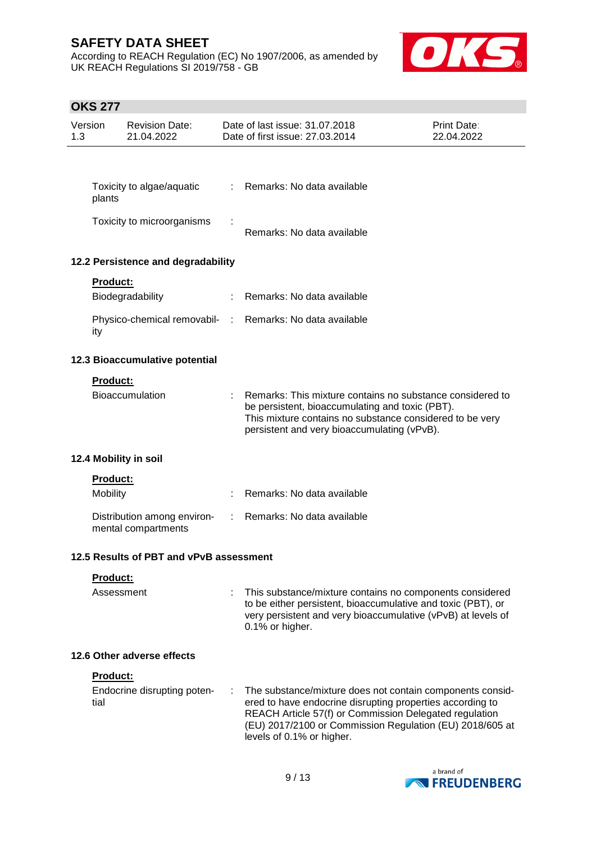According to REACH Regulation (EC) No 1907/2006, as amended by UK REACH Regulations SI 2019/758 - GB



# **OKS 277**

| Version<br>1.3 |                  | <b>Revision Date:</b><br>21.04.2022                |   | Date of last issue: 31.07.2018<br>Date of first issue: 27.03.2014                                                                                                                                                                                                         | Print Date:<br>22.04.2022 |
|----------------|------------------|----------------------------------------------------|---|---------------------------------------------------------------------------------------------------------------------------------------------------------------------------------------------------------------------------------------------------------------------------|---------------------------|
|                |                  |                                                    |   |                                                                                                                                                                                                                                                                           |                           |
|                | plants           | Toxicity to algae/aquatic                          | ÷ | Remarks: No data available                                                                                                                                                                                                                                                |                           |
|                |                  | Toxicity to microorganisms                         |   | Remarks: No data available                                                                                                                                                                                                                                                |                           |
|                |                  | 12.2 Persistence and degradability                 |   |                                                                                                                                                                                                                                                                           |                           |
|                | <b>Product:</b>  |                                                    |   |                                                                                                                                                                                                                                                                           |                           |
|                |                  | Biodegradability                                   |   | Remarks: No data available                                                                                                                                                                                                                                                |                           |
|                | ity              |                                                    |   | Physico-chemical removabil- : Remarks: No data available                                                                                                                                                                                                                  |                           |
|                |                  | 12.3 Bioaccumulative potential                     |   |                                                                                                                                                                                                                                                                           |                           |
|                | Product:         |                                                    |   |                                                                                                                                                                                                                                                                           |                           |
|                |                  | <b>Bioaccumulation</b>                             |   | Remarks: This mixture contains no substance considered to<br>be persistent, bioaccumulating and toxic (PBT).<br>This mixture contains no substance considered to be very<br>persistent and very bioaccumulating (vPvB).                                                   |                           |
|                |                  | 12.4 Mobility in soil                              |   |                                                                                                                                                                                                                                                                           |                           |
|                | <b>Product:</b>  |                                                    |   |                                                                                                                                                                                                                                                                           |                           |
|                | <b>Mobility</b>  |                                                    |   | Remarks: No data available                                                                                                                                                                                                                                                |                           |
|                |                  | Distribution among environ-<br>mental compartments |   | Remarks: No data available                                                                                                                                                                                                                                                |                           |
|                |                  | 12.5 Results of PBT and vPvB assessment            |   |                                                                                                                                                                                                                                                                           |                           |
|                | Product:         |                                                    |   |                                                                                                                                                                                                                                                                           |                           |
|                | Assessment       |                                                    |   | This substance/mixture contains no components considered<br>to be either persistent, bioaccumulative and toxic (PBT), or<br>very persistent and very bioaccumulative (vPvB) at levels of<br>0.1% or higher.                                                               |                           |
|                |                  | 12.6 Other adverse effects                         |   |                                                                                                                                                                                                                                                                           |                           |
|                | Product:<br>tial | Endocrine disrupting poten-                        |   | The substance/mixture does not contain components consid-<br>ered to have endocrine disrupting properties according to<br>REACH Article 57(f) or Commission Delegated regulation<br>(EU) 2017/2100 or Commission Regulation (EU) 2018/605 at<br>levels of 0.1% or higher. |                           |
|                |                  |                                                    |   |                                                                                                                                                                                                                                                                           | a hrand of                |

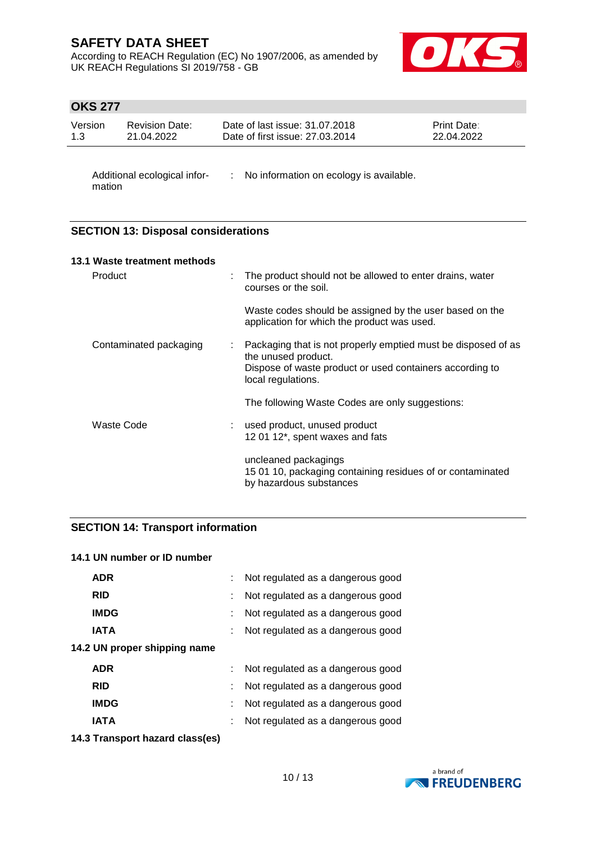According to REACH Regulation (EC) No 1907/2006, as amended by UK REACH Regulations SI 2019/758 - GB



# **OKS 277**

| Version | <b>Revision Date:</b> | Date of last issue: 31.07.2018  | <b>Print Date:</b> |
|---------|-----------------------|---------------------------------|--------------------|
| 1.3     | 21.04.2022            | Date of first issue: 27,03,2014 | 22.04.2022         |
|         |                       |                                 |                    |

mation

Additional ecological infor- : No information on ecology is available.

# **SECTION 13: Disposal considerations**

| 13.1 Waste treatment methods |   |                                                                                                                                                                        |
|------------------------------|---|------------------------------------------------------------------------------------------------------------------------------------------------------------------------|
| Product                      | ÷ | The product should not be allowed to enter drains, water<br>courses or the soil.                                                                                       |
|                              |   | Waste codes should be assigned by the user based on the<br>application for which the product was used.                                                                 |
| Contaminated packaging       | ÷ | Packaging that is not properly emptied must be disposed of as<br>the unused product.<br>Dispose of waste product or used containers according to<br>local regulations. |
|                              |   | The following Waste Codes are only suggestions:                                                                                                                        |
| Waste Code                   |   | used product, unused product<br>12 01 12*, spent waxes and fats                                                                                                        |
|                              |   | uncleaned packagings<br>15 01 10, packaging containing residues of or contaminated<br>by hazardous substances                                                          |

#### **SECTION 14: Transport information**

## **14.1 UN number or ID number**

| <b>ADR</b>                   | Not regulated as a dangerous good |
|------------------------------|-----------------------------------|
| <b>RID</b>                   | Not regulated as a dangerous good |
| <b>IMDG</b>                  | Not regulated as a dangerous good |
| <b>IATA</b>                  | Not regulated as a dangerous good |
| 14.2 UN proper shipping name |                                   |
| <b>ADR</b>                   | Not regulated as a dangerous good |
| <b>RID</b>                   | Not regulated as a dangerous good |
| <b>IMDG</b>                  | Not regulated as a dangerous good |
| <b>IATA</b>                  | Not regulated as a dangerous good |
|                              |                                   |

**14.3 Transport hazard class(es)**

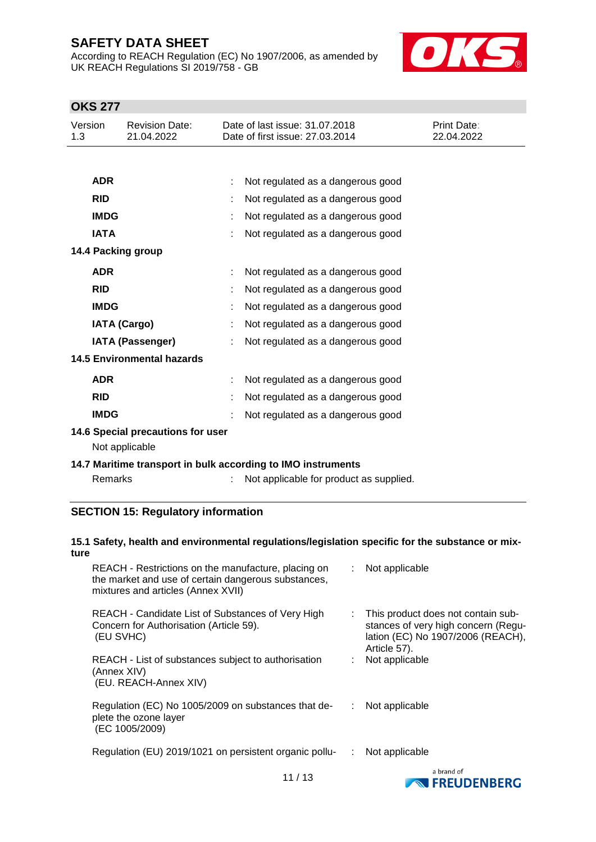According to REACH Regulation (EC) No 1907/2006, as amended by UK REACH Regulations SI 2019/758 - GB



# **OKS 277**

| Version<br>1.3 |                                                              | <b>Revision Date:</b><br>21.04.2022                 |  | Date of last issue: 31.07.2018<br>Date of first issue: 27.03.2014 | <b>Print Date:</b><br>22.04.2022 |  |  |  |
|----------------|--------------------------------------------------------------|-----------------------------------------------------|--|-------------------------------------------------------------------|----------------------------------|--|--|--|
|                |                                                              |                                                     |  |                                                                   |                                  |  |  |  |
|                | <b>ADR</b>                                                   |                                                     |  | Not regulated as a dangerous good                                 |                                  |  |  |  |
|                | <b>RID</b>                                                   |                                                     |  | Not regulated as a dangerous good                                 |                                  |  |  |  |
|                | <b>IMDG</b>                                                  |                                                     |  | Not regulated as a dangerous good                                 |                                  |  |  |  |
|                | <b>IATA</b>                                                  |                                                     |  | Not regulated as a dangerous good                                 |                                  |  |  |  |
|                |                                                              | 14.4 Packing group                                  |  |                                                                   |                                  |  |  |  |
|                | <b>ADR</b>                                                   |                                                     |  | Not regulated as a dangerous good                                 |                                  |  |  |  |
|                | <b>RID</b>                                                   |                                                     |  | Not regulated as a dangerous good                                 |                                  |  |  |  |
|                | <b>IMDG</b>                                                  |                                                     |  | Not regulated as a dangerous good                                 |                                  |  |  |  |
|                |                                                              | <b>IATA (Cargo)</b>                                 |  | Not regulated as a dangerous good                                 |                                  |  |  |  |
|                |                                                              | <b>IATA (Passenger)</b>                             |  | Not regulated as a dangerous good                                 |                                  |  |  |  |
|                |                                                              | <b>14.5 Environmental hazards</b>                   |  |                                                                   |                                  |  |  |  |
|                | <b>ADR</b>                                                   |                                                     |  | Not regulated as a dangerous good                                 |                                  |  |  |  |
|                | <b>RID</b>                                                   |                                                     |  | Not regulated as a dangerous good                                 |                                  |  |  |  |
|                | <b>IMDG</b>                                                  |                                                     |  | Not regulated as a dangerous good                                 |                                  |  |  |  |
|                |                                                              | 14.6 Special precautions for user<br>Not applicable |  |                                                                   |                                  |  |  |  |
|                | 14.7 Maritime transport in bulk according to IMO instruments |                                                     |  |                                                                   |                                  |  |  |  |
|                | Remarks                                                      |                                                     |  | Not applicable for product as supplied.                           |                                  |  |  |  |

# **SECTION 15: Regulatory information**

#### **15.1 Safety, health and environmental regulations/legislation specific for the substance or mixture**

| REACH - Restrictions on the manufacture, placing on<br>the market and use of certain dangerous substances,<br>mixtures and articles (Annex XVII) | : Not applicable                                                                                                               |
|--------------------------------------------------------------------------------------------------------------------------------------------------|--------------------------------------------------------------------------------------------------------------------------------|
| REACH - Candidate List of Substances of Very High<br>Concern for Authorisation (Article 59).<br>(EU SVHC)                                        | This product does not contain sub-<br>stances of very high concern (Regu-<br>lation (EC) No 1907/2006 (REACH),<br>Article 57). |
| REACH - List of substances subject to authorisation<br>(Annex XIV)<br>(EU. REACH-Annex XIV)                                                      | Not applicable                                                                                                                 |
| Regulation (EC) No 1005/2009 on substances that de-<br>plete the ozone layer<br>(EC 1005/2009)                                                   | Not applicable                                                                                                                 |
| Regulation (EU) 2019/1021 on persistent organic pollu-                                                                                           | Not applicable                                                                                                                 |
|                                                                                                                                                  | a brand of                                                                                                                     |

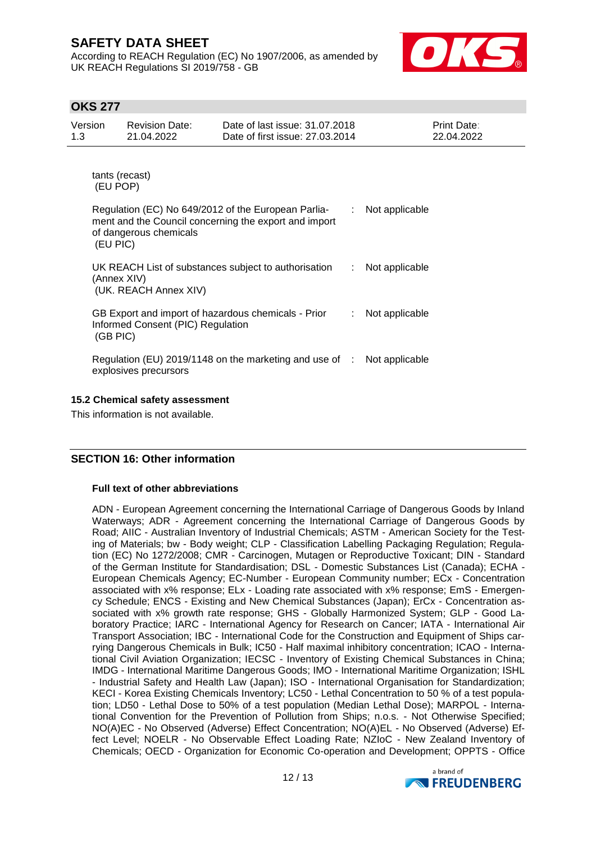According to REACH Regulation (EC) No 1907/2006, as amended by UK REACH Regulations SI 2019/758 - GB



# **OKS 277**

| Version<br>1.3                  | <b>Revision Date:</b><br>21.04.2022           | Date of last issue: 31.07.2018<br>Date of first issue: 27,03,2014                                            |    | Print Date:<br>22.04.2022 |  |  |  |  |  |
|---------------------------------|-----------------------------------------------|--------------------------------------------------------------------------------------------------------------|----|---------------------------|--|--|--|--|--|
|                                 | tants (recast)<br>(EU POP)                    |                                                                                                              |    |                           |  |  |  |  |  |
|                                 | of dangerous chemicals<br>(EU PIC)            | Regulation (EC) No 649/2012 of the European Parlia-<br>ment and the Council concerning the export and import | ÷. | Not applicable            |  |  |  |  |  |
|                                 | (Annex XIV)<br>(UK. REACH Annex XIV)          | UK REACH List of substances subject to authorisation                                                         | ÷. | Not applicable            |  |  |  |  |  |
|                                 | Informed Consent (PIC) Regulation<br>(GB PIC) | GB Export and import of hazardous chemicals - Prior                                                          | ÷  | Not applicable            |  |  |  |  |  |
|                                 | explosives precursors                         | Regulation (EU) 2019/1148 on the marketing and use of : Not applicable                                       |    |                           |  |  |  |  |  |
| 15.2 Chemical safety assessment |                                               |                                                                                                              |    |                           |  |  |  |  |  |

This information is not available.

# **SECTION 16: Other information**

#### **Full text of other abbreviations**

ADN - European Agreement concerning the International Carriage of Dangerous Goods by Inland Waterways; ADR - Agreement concerning the International Carriage of Dangerous Goods by Road; AIIC - Australian Inventory of Industrial Chemicals; ASTM - American Society for the Testing of Materials; bw - Body weight; CLP - Classification Labelling Packaging Regulation; Regulation (EC) No 1272/2008; CMR - Carcinogen, Mutagen or Reproductive Toxicant; DIN - Standard of the German Institute for Standardisation; DSL - Domestic Substances List (Canada); ECHA - European Chemicals Agency; EC-Number - European Community number; ECx - Concentration associated with x% response; ELx - Loading rate associated with x% response; EmS - Emergency Schedule; ENCS - Existing and New Chemical Substances (Japan); ErCx - Concentration associated with x% growth rate response; GHS - Globally Harmonized System; GLP - Good Laboratory Practice; IARC - International Agency for Research on Cancer; IATA - International Air Transport Association; IBC - International Code for the Construction and Equipment of Ships carrying Dangerous Chemicals in Bulk; IC50 - Half maximal inhibitory concentration; ICAO - International Civil Aviation Organization; IECSC - Inventory of Existing Chemical Substances in China; IMDG - International Maritime Dangerous Goods; IMO - International Maritime Organization; ISHL - Industrial Safety and Health Law (Japan); ISO - International Organisation for Standardization; KECI - Korea Existing Chemicals Inventory; LC50 - Lethal Concentration to 50 % of a test population; LD50 - Lethal Dose to 50% of a test population (Median Lethal Dose); MARPOL - International Convention for the Prevention of Pollution from Ships; n.o.s. - Not Otherwise Specified; NO(A)EC - No Observed (Adverse) Effect Concentration; NO(A)EL - No Observed (Adverse) Effect Level; NOELR - No Observable Effect Loading Rate; NZIoC - New Zealand Inventory of Chemicals; OECD - Organization for Economic Co-operation and Development; OPPTS - Office